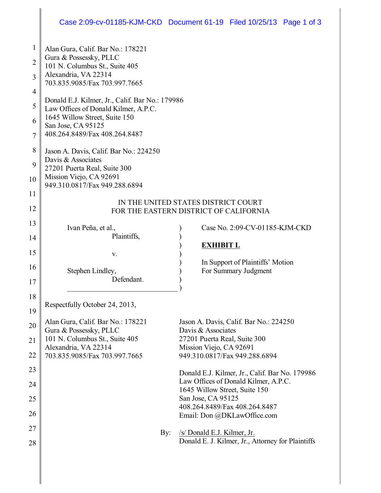## Case 2:09-cv-01185-KJM-CKD Document 61-19 Filed 10/25/13 Page 1 of 3

| $\mathbf{1}$   | Alan Gura, Calif. Bar No.: 178221                                                       |                                                              |  |
|----------------|-----------------------------------------------------------------------------------------|--------------------------------------------------------------|--|
| $\overline{2}$ | Gura & Possessky, PLLC                                                                  |                                                              |  |
|                | 101 N. Columbus St., Suite 405                                                          |                                                              |  |
| 3              | Alexandria, VA 22314<br>703.835.9085/Fax 703.997.7665                                   |                                                              |  |
| $\overline{4}$ |                                                                                         |                                                              |  |
| 5              | Donald E.J. Kilmer, Jr., Calif. Bar No.: 179986<br>Law Offices of Donald Kilmer, A.P.C. |                                                              |  |
| 6              | 1645 Willow Street, Suite 150                                                           |                                                              |  |
|                | San Jose, CA 95125                                                                      |                                                              |  |
| 7              | 408.264.8489/Fax 408.264.8487                                                           |                                                              |  |
| 8              | Jason A. Davis, Calif. Bar No.: 224250                                                  |                                                              |  |
| 9              | Davis & Associates<br>27201 Puerta Real, Suite 300                                      |                                                              |  |
| 10             | Mission Viejo, CA 92691                                                                 |                                                              |  |
|                | 949.310.0817/Fax 949.288.6894                                                           |                                                              |  |
| 11             | IN THE UNITED STATES DISTRICT COURT                                                     |                                                              |  |
| 12             | FOR THE EASTERN DISTRICT OF CALIFORNIA                                                  |                                                              |  |
| 13             |                                                                                         |                                                              |  |
| 14             | Ivan Peña, et al.,<br>Plaintiffs,                                                       | Case No. 2:09-CV-01185-KJM-CKD                               |  |
|                |                                                                                         | <b>EXHIBIT L</b>                                             |  |
| 15             | V.                                                                                      |                                                              |  |
| 16             | Stephen Lindley,                                                                        | In Support of Plaintiffs' Motion<br>For Summary Judgment     |  |
| 17             | Defendant.                                                                              |                                                              |  |
|                |                                                                                         |                                                              |  |
| 18             | Respectfully October 24, 2013,                                                          |                                                              |  |
| 19             |                                                                                         |                                                              |  |
| 20             | Alan Gura, Calif. Bar No.: 178221<br>Gura & Possessky, PLLC                             | Jason A. Davis, Calif. Bar No.: 224250<br>Davis & Associates |  |
| 21             | 101 N. Columbus St., Suite 405                                                          | 27201 Puerta Real, Suite 300                                 |  |
|                | Alexandria, VA 22314                                                                    | Mission Viejo, CA 92691                                      |  |
| 22             | 703.835.9085/Fax 703.997.7665                                                           | 949.310.0817/Fax 949.288.6894                                |  |
| 23             |                                                                                         | Donald E.J. Kilmer, Jr., Calif. Bar No. 179986               |  |
| 24             |                                                                                         | Law Offices of Donald Kilmer, A.P.C.                         |  |
| 25             |                                                                                         | 1645 Willow Street, Suite 150<br>San Jose, CA 95125          |  |
|                |                                                                                         | 408.264.8489/Fax 408.264.8487                                |  |
| 26             |                                                                                         | Email: Don @DKLawOffice.com                                  |  |
| 27             | By:                                                                                     | /s/ Donald E.J. Kilmer, Jr.                                  |  |
| 28             |                                                                                         | Donald E. J. Kilmer, Jr., Attorney for Plaintiffs            |  |
|                |                                                                                         |                                                              |  |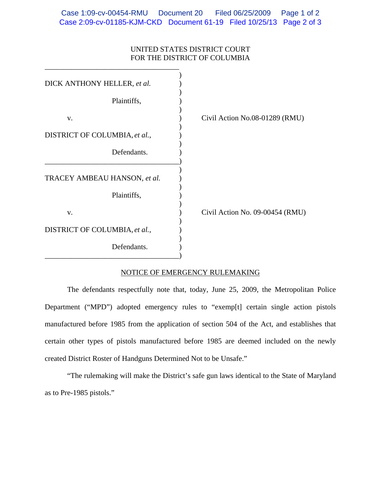## UNITED STATES DISTRICT COURT FOR THE DISTRICT OF COLUMBIA

| DICK ANTHONY HELLER, et al.   |                    |
|-------------------------------|--------------------|
| Plaintiffs,                   |                    |
| V.                            | Civil Action No.08 |
| DISTRICT OF COLUMBIA, et al., |                    |
| Defendants.                   |                    |
| TRACEY AMBEAU HANSON, et al.  |                    |
| Plaintiffs,                   |                    |
| V.                            | Civil Action No. 0 |
| DISTRICT OF COLUMBIA, et al., |                    |
| Defendants.                   |                    |

\_\_\_\_\_\_\_\_\_\_\_\_\_\_\_\_\_\_\_\_\_\_\_\_\_\_\_\_\_\_\_\_\_\_\_\_

8-01289 (RMU)

9-00454 (RMU)

## NOTICE OF EMERGENCY RULEMAKING

 The defendants respectfully note that, today, June 25, 2009, the Metropolitan Police Department ("MPD") adopted emergency rules to "exemp[t] certain single action pistols manufactured before 1985 from the application of section 504 of the Act, and establishes that certain other types of pistols manufactured before 1985 are deemed included on the newly created District Roster of Handguns Determined Not to be Unsafe."

"The rulemaking will make the District's safe gun laws identical to the State of Maryland as to Pre-1985 pistols."